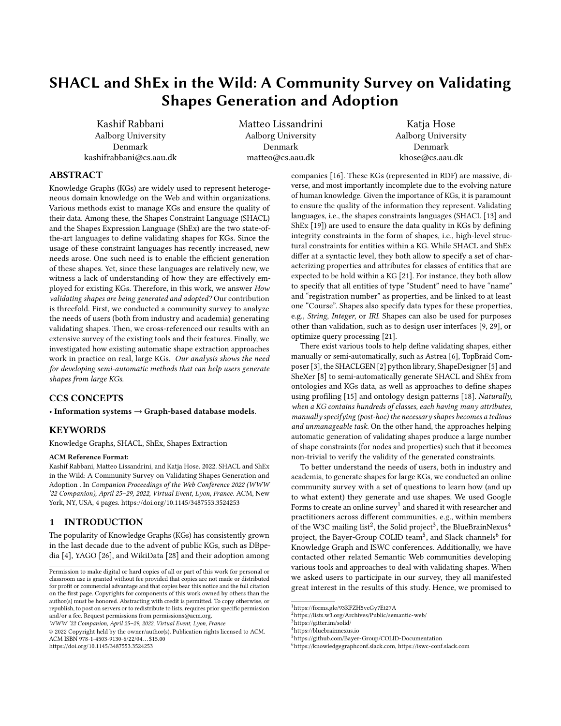# <span id="page-0-6"></span>SHACL and ShEx in the Wild: A Community Survey on Validating Shapes Generation and Adoption

Kashif Rabbani Aalborg University Denmark kashifrabbani@cs.aau.dk Matteo Lissandrini Aalborg University Denmark matteo@cs.aau.dk

Katja Hose Aalborg University Denmark khose@cs.aau.dk

### ABSTRACT

Knowledge Graphs (KGs) are widely used to represent heterogeneous domain knowledge on the Web and within organizations. Various methods exist to manage KGs and ensure the quality of their data. Among these, the Shapes Constraint Language (SHACL) and the Shapes Expression Language (ShEx) are the two state-ofthe-art languages to define validating shapes for KGs. Since the usage of these constraint languages has recently increased, new needs arose. One such need is to enable the efficient generation of these shapes. Yet, since these languages are relatively new, we witness a lack of understanding of how they are effectively employed for existing KGs. Therefore, in this work, we answer How validating shapes are being generated and adopted? Our contribution is threefold. First, we conducted a community survey to analyze the needs of users (both from industry and academia) generating validating shapes. Then, we cross-referenced our results with an extensive survey of the existing tools and their features. Finally, we investigated how existing automatic shape extraction approaches work in practice on real, large KGs. Our analysis shows the need for developing semi-automatic methods that can help users generate shapes from large KGs.

## CCS CONCEPTS

• Information systems  $\rightarrow$  Graph-based database models.

#### **KEYWORDS**

Knowledge Graphs, SHACL, ShEx, Shapes Extraction

#### ACM Reference Format:

Kashif Rabbani, Matteo Lissandrini, and Katja Hose. 2022. SHACL and ShEx in the Wild: A Community Survey on Validating Shapes Generation and Adoption . In Companion Proceedings of the Web Conference 2022 (WWW '22 Companion), April 25–29, 2022, Virtual Event, Lyon, France. ACM, New York, NY, USA, [4](#page-3-0) pages.<https://doi.org/10.1145/3487553.3524253>

### 1 INTRODUCTION

The popularity of Knowledge Graphs (KGs) has consistently grown in the last decade due to the advent of public KGs, such as DBpedia [\[4\]](#page-3-1), YAGO [\[26\]](#page-3-2), and WikiData [\[28\]](#page-3-3) and their adoption among

WWW '22 Companion, April 25–29, 2022, Virtual Event, Lyon, France

© 2022 Copyright held by the owner/author(s). Publication rights licensed to ACM. ACM ISBN 978-1-4503-9130-6/22/04. . . \$15.00 <https://doi.org/10.1145/3487553.3524253>

companies [\[16\]](#page-3-4). These KGs (represented in RDF) are massive, diverse, and most importantly incomplete due to the evolving nature of human knowledge. Given the importance of KGs, it is paramount to ensure the quality of the information they represent. Validating languages, i.e., the shapes constraints languages (SHACL [\[13\]](#page-3-5) and ShEx [\[19\]](#page-3-6)) are used to ensure the data quality in KGs by defining integrity constraints in the form of shapes, i.e., high-level structural constraints for entities within a KG. While SHACL and ShEx differ at a syntactic level, they both allow to specify a set of characterizing properties and attributes for classes of entities that are expected to be hold within a KG [\[21\]](#page-3-7). For instance, they both allow to specify that all entities of type "Student" need to have "name" and "registration number" as properties, and be linked to at least one "Course". Shapes also specify data types for these properties, e.g., String, Integer, or IRI. Shapes can also be used for purposes other than validation, such as to design user interfaces [\[9,](#page-3-8) [29\]](#page-3-9), or optimize query processing [\[21\]](#page-3-7).

There exist various tools to help define validating shapes, either manually or semi-automatically, such as Astrea [\[6\]](#page-3-10), TopBraid Composer [\[3\]](#page-3-11), the SHACLGEN [\[2\]](#page-3-12) python library, ShapeDesigner [\[5\]](#page-3-13) and SheXer [\[8\]](#page-3-14) to semi-automatically generate SHACL and ShEx from ontologies and KGs data, as well as approaches to define shapes using profiling [\[15\]](#page-3-15) and ontology design patterns [\[18\]](#page-3-16). Naturally, when a KG contains hundreds of classes, each having many attributes, manually specifying (post-hoc) the necessary shapes becomes a tedious and unmanageable task. On the other hand, the approaches helping automatic generation of validating shapes produce a large number of shape constraints (for nodes and properties) such that it becomes non-trivial to verify the validity of the generated constraints.

To better understand the needs of users, both in industry and academia, to generate shapes for large KGs, we conducted an online community survey with a set of questions to learn how (and up to what extent) they generate and use shapes. We used Google Forms to create an online survey $^1$  $^1$  and shared it with researcher and practitioners across different communities, e.g., within members of the W3C mailing list<sup>[2](#page-0-1)</sup>, the Solid project<sup>[3](#page-0-2)</sup>, the BlueBrainNexus<sup>[4](#page-0-3)</sup> project, the Bayer-Group COLID team<sup>[5](#page-0-4)</sup>, and Slack channels<sup>[6](#page-0-5)</sup> for Knowledge Graph and ISWC conferences. Additionally, we have contacted other related Semantic Web communities developing various tools and approaches to deal with validating shapes. When we asked users to participate in our survey, they all manifested great interest in the results of this study. Hence, we promised to

Permission to make digital or hard copies of all or part of this work for personal or classroom use is granted without fee provided that copies are not made or distributed for profit or commercial advantage and that copies bear this notice and the full citation on the first page. Copyrights for components of this work owned by others than the author(s) must be honored. Abstracting with credit is permitted. To copy otherwise, or republish, to post on servers or to redistribute to lists, requires prior specific permission and/or a fee. Request permissions from permissions@acm.org.

<span id="page-0-1"></span><span id="page-0-0"></span><sup>1</sup><https://forms.gle/93KFZH5vcGy7Et27A>

<sup>2</sup><https://lists.w3.org/Archives/Public/semantic-web/>

<span id="page-0-2"></span> $3$ <https://gitter.im/solid/>

<span id="page-0-3"></span><sup>4</sup><https://bluebrainnexus.io>

<span id="page-0-4"></span><sup>5</sup><https://github.com/Bayer-Group/COLID-Documentation>

<span id="page-0-5"></span><sup>6</sup>[https://knowledgegraphconf.slack.com,](https://knowledgegraphconf.slack.com)<https://iswc-conf.slack.com>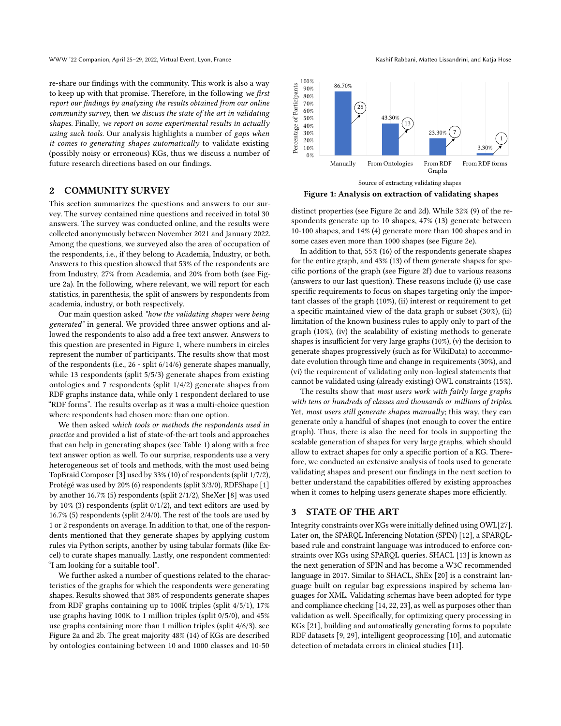re-share our findings with the community. This work is also a way to keep up with that promise. Therefore, in the following we first report our findings by analyzing the results obtained from our online community survey, then we discuss the state of the art in validating shapes. Finally, we report on some experimental results in actually using such tools. Our analysis highlights a number of gaps when it comes to generating shapes automatically to validate existing (possibly noisy or erroneous) KGs, thus we discuss a number of future research directions based on our findings.

## 2 COMMUNITY SURVEY

This section summarizes the questions and answers to our survey. The survey contained nine questions and received in total 30 answers. The survey was conducted online, and the results were collected anonymously between November 2021 and January 2022. Among the questions, we surveyed also the area of occupation of the respondents, i.e., if they belong to Academia, Industry, or both. Answers to this question showed that 53% of the respondents are from Industry, 27% from Academia, and 20% from both (see Figure [2a](#page-2-0)). In the following, where relevant, we will report for each statistics, in parenthesis, the split of answers by respondents from academia, industry, or both respectively.

Our main question asked "how the validating shapes were being generated" in general. We provided three answer options and allowed the respondents to also add a free text answer. Answers to this question are presented in Figure [1,](#page-1-0) where numbers in circles represent the number of participants. The results show that most of the respondents (i.e., 26 - split 6/14/6) generate shapes manually, while 13 respondents (split 5/5/3) generate shapes from existing ontologies and 7 respondents (split 1/4/2) generate shapes from RDF graphs instance data, while only 1 respondent declared to use "RDF forms". The results overlap as it was a multi-choice question where respondents had chosen more than one option.

We then asked which tools or methods the respondents used in practice and provided a list of state-of-the-art tools and approaches that can help in generating shapes (see Table [1\)](#page-2-1) along with a free text answer option as well. To our surprise, respondents use a very heterogeneous set of tools and methods, with the most used being TopBraid Composer [\[3\]](#page-3-11) used by 33% (10) of respondents (split 1/7/2), Protégé was used by 20% (6) respondents (split 3/3/0), RDFShape [\[1\]](#page-3-17) by another 16.7% (5) respondents (split 2/1/2), SheXer [\[8\]](#page-3-14) was used by 10% (3) respondents (split 0/1/2), and text editors are used by 16.7% (5) respondents (split 2/4/0). The rest of the tools are used by 1 or 2 respondents on average. In addition to that, one of the respondents mentioned that they generate shapes by applying custom rules via Python scripts, another by using tabular formats (like Excel) to curate shapes manually. Lastly, one respondent commented: "I am looking for a suitable tool".

We further asked a number of questions related to the characteristics of the graphs for which the respondents were generating shapes. Results showed that 38% of respondents generate shapes from RDF graphs containing up to 100K triples (split 4/5/1), 17% use graphs having 100K to 1 million triples (split 0/5/0), and 45% use graphs containing more than 1 million triples (split 4/6/3), see Figure [2a](#page-2-0) and [2b](#page-2-0). The great majority 48% (14) of KGs are described by ontologies containing between 10 and 1000 classes and 10-50

<span id="page-1-0"></span>

Figure 1: Analysis on extraction of validating shapes

distinct properties (see Figure [2c](#page-2-0) and [2d](#page-2-0)). While 32% (9) of the respondents generate up to 10 shapes, 47% (13) generate between 10-100 shapes, and 14% (4) generate more than 100 shapes and in some cases even more than 1000 shapes (see Figure [2e](#page-2-0)).

In addition to that, 55% (16) of the respondents generate shapes for the entire graph, and 43% (13) of them generate shapes for specific portions of the graph (see Figure [2f](#page-2-0)) due to various reasons (answers to our last question). These reasons include (i) use case specific requirements to focus on shapes targeting only the important classes of the graph (10%), (ii) interest or requirement to get a specific maintained view of the data graph or subset (30%), (ii) limitation of the known business rules to apply only to part of the graph (10%), (iv) the scalability of existing methods to generate shapes is insufficient for very large graphs (10%), (v) the decision to generate shapes progressively (such as for WikiData) to accommodate evolution through time and change in requirements (30%), and (vi) the requirement of validating only non-logical statements that cannot be validated using (already existing) OWL constraints (15%).

The results show that most users work with fairly large graphs with tens or hundreds of classes and thousands or millions of triples. Yet, most users still generate shapes manually; this way, they can generate only a handful of shapes (not enough to cover the entire graph). Thus, there is also the need for tools in supporting the scalable generation of shapes for very large graphs, which should allow to extract shapes for only a specific portion of a KG. Therefore, we conducted an extensive analysis of tools used to generate validating shapes and present our findings in the next section to better understand the capabilities offered by existing approaches when it comes to helping users generate shapes more efficiently.

#### 3 STATE OF THE ART

Integrity constraints over KGs were initially defined using OWL[\[27\]](#page-3-18). Later on, the SPARQL Inferencing Notation (SPIN) [\[12\]](#page-3-19), a SPARQLbased rule and constraint language was introduced to enforce constraints over KGs using SPARQL queries. SHACL [\[13\]](#page-3-5) is known as the next generation of SPIN and has become a W3C recommended language in 2017. Similar to SHACL, ShEx [\[20\]](#page-3-20) is a constraint language built on regular bag expressions inspired by schema languages for XML. Validating schemas have been adopted for type and compliance checking [\[14,](#page-3-21) [22,](#page-3-22) [23\]](#page-3-23), as well as purposes other than validation as well. Specifically, for optimizing query processing in KGs [\[21\]](#page-3-7), building and automatically generating forms to populate RDF datasets [\[9,](#page-3-8) [29\]](#page-3-9), intelligent geoprocessing [\[10\]](#page-3-24), and automatic detection of metadata errors in clinical studies [\[11\]](#page-3-25).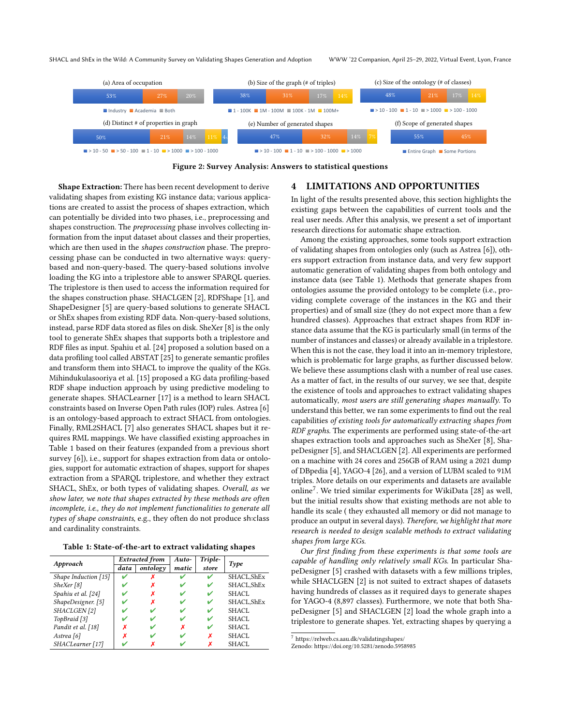<span id="page-2-0"></span>

Figure 2: Survey Analysis: Answers to statistical questions

Shape Extraction: There has been recent development to derive validating shapes from existing KG instance data; various applications are created to assist the process of shapes extraction, which can potentially be divided into two phases, i.e., preprocessing and shapes construction. The preprocessing phase involves collecting information from the input dataset about classes and their properties, which are then used in the shapes construction phase. The preprocessing phase can be conducted in two alternative ways: querybased and non-query-based. The query-based solutions involve loading the KG into a triplestore able to answer SPARQL queries. The triplestore is then used to access the information required for the shapes construction phase. SHACLGEN [\[2\]](#page-3-12), RDFShape [\[1\]](#page-3-17), and ShapeDesigner [\[5\]](#page-3-13) are query-based solutions to generate SHACL or ShEx shapes from existing RDF data. Non-query-based solutions, instead, parse RDF data stored as files on disk. SheXer [\[8\]](#page-3-14) is the only tool to generate ShEx shapes that supports both a triplestore and RDF files as input. Spahiu et al. [\[24\]](#page-3-26) proposed a solution based on a data profiling tool called ABSTAT [\[25\]](#page-3-27) to generate semantic profiles and transform them into SHACL to improve the quality of the KGs. Mihindukulasooriya et al. [\[15\]](#page-3-15) proposed a KG data profiling-based RDF shape induction approach by using predictive modeling to generate shapes. SHACLearner [\[17\]](#page-3-28) is a method to learn SHACL constraints based on Inverse Open Path rules (IOP) rules. Astrea [\[6\]](#page-3-10) is an ontology-based approach to extract SHACL from ontologies. Finally, RML2SHACL [\[7\]](#page-3-29) also generates SHACL shapes but it requires RML mappings. We have classified existing approaches in Table [1](#page-2-1) based on their features (expanded from a previous short survey [\[6\]](#page-3-10)), i.e., support for shapes extraction from data or ontologies, support for automatic extraction of shapes, support for shapes extraction from a SPARQL triplestore, and whether they extract SHACL, ShEx, or both types of validating shapes. Overall, as we show later, we note that shapes extracted by these methods are often incomplete, i.e., they do not implement functionalities to generate all types of shape constraints, e.g., they often do not produce sh:class and cardinality constraints.

|  |  |  |  | Table 1: State-of-the-art to extract validating shapes |  |
|--|--|--|--|--------------------------------------------------------|--|
|--|--|--|--|--------------------------------------------------------|--|

<span id="page-2-1"></span>

| Approach                | Extracted from |          | Auto- | Triple- |              |  |
|-------------------------|----------------|----------|-------|---------|--------------|--|
|                         | data           | ontology | matic | store   | Type         |  |
| Shape Induction $[15]$  |                |          |       |         | SHACL, ShEx  |  |
| SheXer [8]              |                |          |       | v       | SHACL, ShEx  |  |
| Spahiu et al. [24]      |                | х        |       |         | SHACL        |  |
| ShapeDesigner. [5]      |                | х        |       | v       | SHACL, ShEx  |  |
| SHACLGEN <sup>[2]</sup> |                |          |       | v       | SHACL        |  |
| TopBraid [3]            |                |          |       | v       | SHACL.       |  |
| Pandit et al. [18]      | x              |          | x     | v       | <b>SHACL</b> |  |
| Astrea [6]              | x              |          |       | х       | <b>SHACL</b> |  |
| SHACLearner [17]        |                |          |       | х       | SHACL        |  |

## 4 LIMITATIONS AND OPPORTUNITIES

In light of the results presented above, this section highlights the existing gaps between the capabilities of current tools and the real user needs. After this analysis, we present a set of important research directions for automatic shape extraction.

Among the existing approaches, some tools support extraction of validating shapes from ontologies only (such as Astrea [\[6\]](#page-3-10)), others support extraction from instance data, and very few support automatic generation of validating shapes from both ontology and instance data (see Table [1\)](#page-2-1). Methods that generate shapes from ontologies assume the provided ontology to be complete (i.e., providing complete coverage of the instances in the KG and their properties) and of small size (they do not expect more than a few hundred classes). Approaches that extract shapes from RDF instance data assume that the KG is particularly small (in terms of the number of instances and classes) or already available in a triplestore. When this is not the case, they load it into an in-memory triplestore, which is problematic for large graphs, as further discussed below. We believe these assumptions clash with a number of real use cases. As a matter of fact, in the results of our survey, we see that, despite the existence of tools and approaches to extract validating shapes automatically, most users are still generating shapes manually. To understand this better, we ran some experiments to find out the real capabilities of existing tools for automatically extracting shapes from RDF graphs. The experiments are performed using state-of-the-art shapes extraction tools and approaches such as SheXer [\[8\]](#page-3-14), ShapeDesigner [\[5\]](#page-3-13), and SHACLGEN [\[2\]](#page-3-12). All experiments are performed on a machine with 24 cores and 256GB of RAM using a 2021 dump of DBpedia [\[4\]](#page-3-1), YAGO-4 [\[26\]](#page-3-2), and a version of LUBM scaled to 91M triples. More details on our experiments and datasets are available online<sup>[7](#page-2-2)</sup>. We tried similar experiments for WikiData [\[28\]](#page-3-3) as well, but the initial results show that existing methods are not able to handle its scale ( they exhausted all memory or did not manage to produce an output in several days). Therefore, we highlight that more research is needed to design scalable methods to extract validating shapes from large KGs.

Our first finding from these experiments is that some tools are capable of handling only relatively small KGs. In particular ShapeDesigner [\[5\]](#page-3-13) crashed with datasets with a few millions triples, while SHACLGEN [\[2\]](#page-3-12) is not suited to extract shapes of datasets having hundreds of classes as it required days to generate shapes for YAGO-4 (8,897 classes). Furthermore, we note that both ShapeDesigner [\[5\]](#page-3-13) and SHACLGEN [\[2\]](#page-3-12) load the whole graph into a triplestore to generate shapes. Yet, extracting shapes by querying a

<span id="page-2-2"></span> $^7$ <https://relweb.cs.aau.dk/validatingshapes/>

Zenodo:<https://doi.org/10.5281/zenodo.5958985>